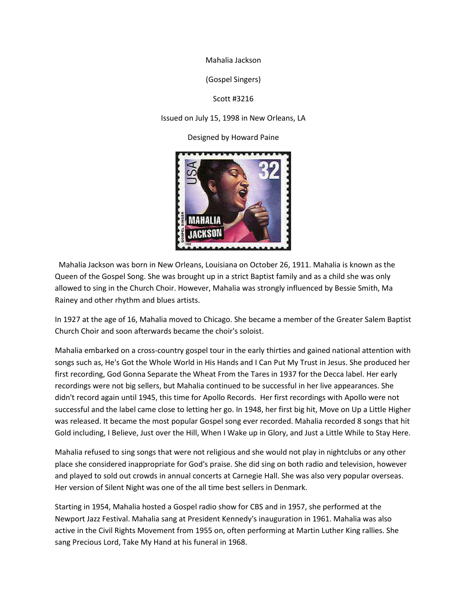Mahalia Jackson

(Gospel Singers)

Scott #3216

Issued on July 15, 1998 in New Orleans, LA

Designed by Howard Paine



Mahalia Jackson was born in New Orleans, Louisiana on October 26, 1911. Mahalia is known as the Queen of the Gospel Song. She was brought up in a strict Baptist family and as a child she was only allowed to sing in the Church Choir. However, Mahalia was strongly influenced by Bessie Smith, Ma Rainey and other rhythm and blues artists.

In 1927 at the age of 16, Mahalia moved to Chicago. She became a member of the Greater Salem Baptist Church Choir and soon afterwards became the choir's soloist.

Mahalia embarked on a cross-country gospel tour in the early thirties and gained national attention with songs such as, He's Got the Whole World in His Hands and I Can Put My Trust in Jesus. She produced her first recording, God Gonna Separate the Wheat From the Tares in 1937 for the Decca label. Her early recordings were not big sellers, but Mahalia continued to be successful in her live appearances. She didn't record again until 1945, this time for Apollo Records. Her first recordings with Apollo were not successful and the label came close to letting her go. In 1948, her first big hit, Move on Up a Little Higher was released. It became the most popular Gospel song ever recorded. Mahalia recorded 8 songs that hit Gold including, I Believe, Just over the Hill, When I Wake up in Glory, and Just a Little While to Stay Here.

Mahalia refused to sing songs that were not religious and she would not play in nightclubs or any other place she considered inappropriate for God's praise. She did sing on both radio and television, however and played to sold out crowds in annual concerts at Carnegie Hall. She was also very popular overseas. Her version of Silent Night was one of the all time best sellers in Denmark.

Starting in 1954, Mahalia hosted a Gospel radio show for CBS and in 1957, she performed at the Newport Jazz Festival. Mahalia sang at President Kennedy's inauguration in 1961. Mahalia was also active in the Civil Rights Movement from 1955 on, often performing at Martin Luther King rallies. She sang Precious Lord, Take My Hand at his funeral in 1968.